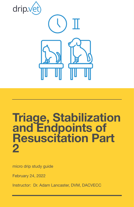

## **Triage, Stabilization and Endpoints of Resuscitation Part 2**

micro drip study guide

February 24, 2022

Instructor: Dr. Adam Lancaster, DVM, DACVECC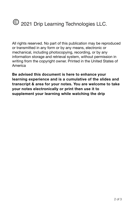## <sup>©</sup> 2021 Drip Learning Technologies LLC.

All rights reserved. No part of this publication may be reproduced or transmitted in any form or by any means, electronic or mechanical, including photocopying, recording, or by any information storage and retrieval system, without permission in writing from the copyright owner. Printed in the United States of America

**Be advised this document is here to enhance your learning experience and is a cumulative of the slides and transcript & area for your notes. You are welcome to take your notes electronically or print then use it to supplement your learning while watching the drip**